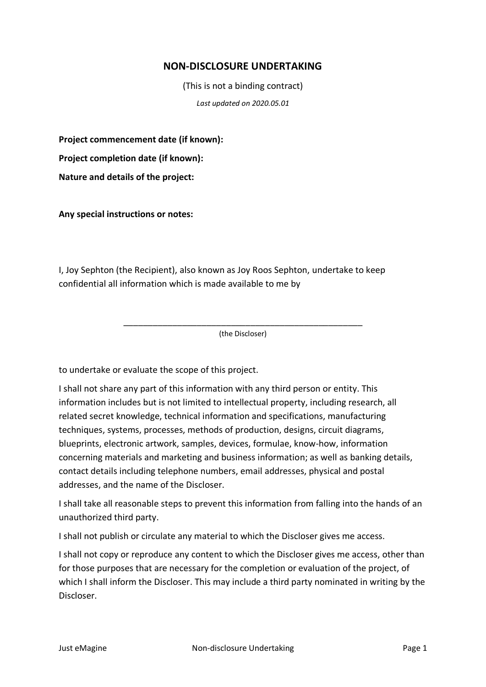## **NON-DISCLOSURE UNDERTAKING**

(This is not a binding contract)

*Last updated on 2020.05.01*

**Project commencement date (if known):**

**Project completion date (if known):**

**Nature and details of the project:**

**Any special instructions or notes:**

I, Joy Sephton (the Recipient), also known as Joy Roos Sephton, undertake to keep confidential all information which is made available to me by

> \_\_\_\_\_\_\_\_\_\_\_\_\_\_\_\_\_\_\_\_\_\_\_\_\_\_\_\_\_\_\_\_\_\_\_\_\_\_\_\_\_\_\_\_\_\_\_\_\_ (the Discloser)

to undertake or evaluate the scope of this project.

I shall not share any part of this information with any third person or entity. This information includes but is not limited to intellectual property, including research, all related secret knowledge, technical information and specifications, manufacturing techniques, systems, processes, methods of production, designs, circuit diagrams, blueprints, electronic artwork, samples, devices, formulae, know-how, information concerning materials and marketing and business information; as well as banking details, contact details including telephone numbers, email addresses, physical and postal addresses, and the name of the Discloser.

I shall take all reasonable steps to prevent this information from falling into the hands of an unauthorized third party.

I shall not publish or circulate any material to which the Discloser gives me access.

I shall not copy or reproduce any content to which the Discloser gives me access, other than for those purposes that are necessary for the completion or evaluation of the project, of which I shall inform the Discloser. This may include a third party nominated in writing by the Discloser.